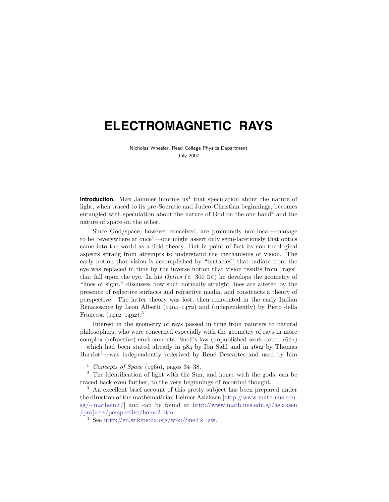# **ELECTROMAGNETIC RAYS**

Nicholas Wheeler, Reed College Physics Department July 2007

**Introduction.** Max Jammer informs us<sup>1</sup> that speculation about the nature of light, when traced to its pre-Socratic and Judeo-Christian beginnings, becomes entangled with speculation about the nature of God on the one hand<sup>2</sup> and the nature of space on the other.

Since God/space, however conceived, are profoundly non-local—manage to be "everywhere at once"—one might assert only semi-facetiously that optics came into the world as a field theory. But in point of fact its non-theological aspects sprang from attempts to understand the mechanisms of vision. The early notion that vision is accomplished by "tentacles" that radiate from the eye was replaced in time by the inverse notion that vision results from "rays" that fall upon the eye. In his  $Optics$  (c. 300 BC) he develops the geometry of "lines of sight," discusses how such normally straight lines are altered by the presence of reflective surfaces and refractive media, and constructs a theory of perspective. The latter theory was lost, then reinvented in the early Italian Renaissance by Leon Alberti (*1404*–*1472*) and (independently) by Piero della Francesa (*1412*–*1492*).<sup>3</sup>

Interest in the geometry of rays passed in time from painters to natural philosophers, who were concerned especially with the geometry of rays in more complex (refractive) environments. Snell's law (unpublished work dated *1621*) —which had been stated already in *984* by Ibn Sahl and in *1602* by Thomas  $Harriot<sup>4</sup>$ —was independently rederived by René Descartes and used by him

<sup>1</sup> Concepts of Space (*1960*), pages 34–38.

<sup>2</sup> The identification of light with the Sun, and hence with the gods, can be traced back even farther, to the very beginnings of recorded thought.

<sup>3</sup> An excellent brief account of this pretty subject has been prepared under the direction of the mathematician Helmer Aslaksen [http://www.math.nus.edu. sg/∼mathelmr/] and can be found at http://www.math.nus.edu.sg/aslaksen /projects/perspective/home2.htm.

<sup>4</sup> See http://en.wikipedia.org/wiki/Snell's law.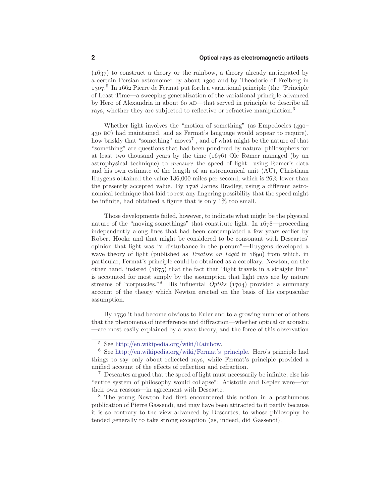(*1637*) to construct a theory or the rainbow, a theory already anticipated by a certain Persian astronomer by about *1300* and by Theodoric of Freiberg in *1307*. <sup>5</sup> In *1662* Pierre de Fermat put forth a variational principle (the "Principle of Least Time—a sweeping generalization of the variational principle advanced by Hero of Alexandria in about *60* ad—that served in principle to describe all rays, whether they are subjected to reflective or refractive manipulation.<sup>6</sup>

Whether light involves the "motion of something" (as Empedocles (*490*– *430* bc) had maintained, and as Fermat's language would appear to require), how briskly that "something" moves<sup>7</sup>, and of what might be the nature of that "something" are questions that had been pondered by natural philosophers for at least two thousand years by the time (*1676*) Ole Rømer managed (by an astrophysical technique) to measure the speed of light: using Rømer's data and his own estimate of the length of an astronomical unit (AU), Christiaan Huygens obtained the value 136,000 miles per second, which is 26% lower than the presently accepted value. By *1728* James Bradley, using a different astronomical technique that laid to rest any lingering possibility that the speed might be infinite, had obtained a figure that is only 1% too small.

Those developments failed, however, to indicate what might be the physical nature of the "moving somethings" that constitute light. In *1678*—proceeding independently along lines that had been contemplated a few years earlier by Robert Hooke and that might be considered to be consonant with Descartes' opinion that light was "a disturbance in the plenum"—Huygens developed a wave theory of light (published as Treatise on Light in *1690*) from which, in particular, Fermat's principle could be obtained as a corollary. Newton, on the other hand, insisted (*1675*) that the fact that "light travels in a straight line" is accounted for most simply by the assumption that light rays are by nature streams of "corpuscles."<sup>8</sup> His influental Optiks (*1704*) provided a summary account of the theory which Newton erected on the basis of his corpuscular assumption.

By *1750* it had become obvious to Euler and to a growing number of others that the phenomena of interference and diffraction—whether optical or acoustic —are most easily explained by a wave theory, and the force of this observation

<sup>5</sup> See http://en.wikipedia.org/wiki/Rainbow.

<sup>6</sup> See http://en.wikipedia.org/wiki/Fermat's principle. Hero's principle had things to say only about reflected rays, while Fermat's principle provided a unified account of the effects of reflection and refraction.

<sup>7</sup> Descartes argued that the speed of light must necessarily be infinite, else his "entire system of philosophy would collapse": Aristotle and Kepler were—for their own reasons—in agreement with Descarte.

<sup>8</sup> The young Newton had first encountered this notion in a posthumous publication of Pierre Gassendi, and may have been attracted to it partly because it is so contrary to the view advanced by Descartes, to whose philosophy he tended generally to take strong exception (as, indeed, did Gassendi).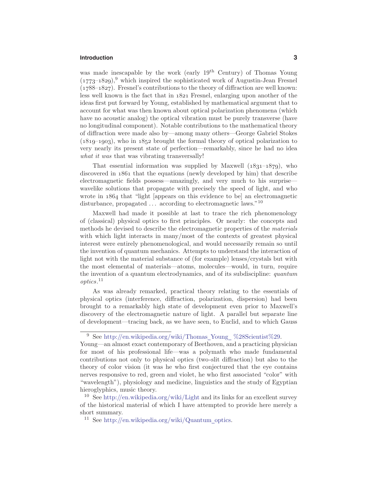## **Introduction 3**

was made inescapable by the work (early 19<sup>th</sup> Century) of Thomas Young (*1773*–*1829*),<sup>9</sup> which inspired the sophisticated work of Augustin-Jean Fresnel (*1788*–*1827*). Fresnel's contributions to the theory of diffraction are well known: less well known is the fact that in *1821* Fresnel, enlarging upon another of the ideas first put forward by Young, established by mathematical argument that to account for what was then known about optical polarization phenomena (which have no acoustic analog) the optical vibration must be purely transverse (have no longitudinal component). Notable contributions to the mathematical theory of diffraction were made also by—among many others—George Gabriel Stokes (*1819*–*1903*), who in *1852* brought the formal theory of optical polarization to very nearly its present state of perfection—remarkably, since he had no idea what it was that was vibrating transversally!

That essential information was supplied by Maxwell (*1831*–*1879*), who discovered in *1861* that the equations (newly developed by him) that describe electromagnetic fields possess—amazingly, and very much to his surprise wavelike solutions that propagate with precisely the speed of light, and who wrote in *1864* that "light [appears on this evidence to be] an electromagnetic disturbance, propagated  $\ldots$  according to electromagnetic laws.<sup>"10</sup>

Maxwell had made it possible at last to trace the rich phenomenology of (classical) physical optics to first principles. Or nearly: the concepts and methods he devised to describe the electromagnetic properties of the materials with which light interacts in many/most of the contexts of greatest physical interest were entirely phenomenological, and would necessarily remain so until the invention of quantum mechanics. Attempts to understand the interaction of light not with the material substance of (for example) lenses/crystals but with the most elemental of materials—atoms, molecules—would, in turn, require the invention of a quantum electrodynamics, and of its subdiscipline: quantum optics. 11

As was already remarked, practical theory relating to the essentials of physical optics (interference, diffraction, polarization, dispersion) had been brought to a remarkably high state of development even prior to Maxwell's discovery of the electromagnetic nature of light. A parallel but separate line of development—tracing back, as we have seen, to Euclid, and to which Gauss

<sup>&</sup>lt;sup>9</sup> See http://en.wikipedia.org/wiki/Thomas Young %28Scientist%29.

Young—an almost exact contemporary of Beethoven, and a practicing physician for most of his professional life—was a polymath who made fundamental contributions not only to physical optics (two-slit diffraction) but also to the theory of color vision (it was he who first conjectured that the eye contains nerves responsive to red, green and violet, he who first associated "color" with "wavelength"), physiology and medicine, linguistics and the study of Egyptian hieroglyphics, music theory.

<sup>&</sup>lt;sup>10</sup> See http://en.wikipedia.org/wiki/Light and its links for an excellent survey of the historical material of which I have attempted to provide here merely a short summary.

<sup>&</sup>lt;sup>11</sup> See http://en.wikipedia.org/wiki/Quantum optics.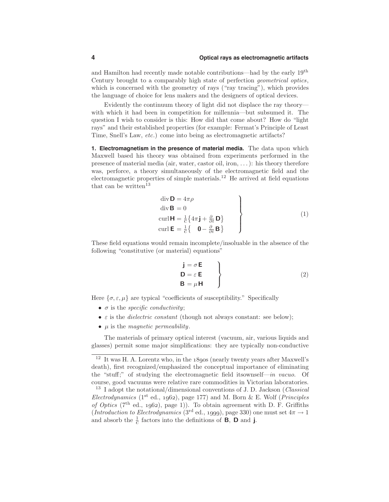and Hamilton had recently made notable contributions—had by the early 19th Century brought to a comparably high state of perfection geometrical optics, which is concerned with the geometry of rays ("ray tracing"), which provides the language of choice for lens makers and the designers of optical devices.

Evidently the continuum theory of light did not displace the ray theory with which it had been in competition for millennia—but subsumed it. The question I wish to consider is this: How did that come about? How do "light rays" and their established properties (for example: Fermat's Principle of Least Time, Snell's Law, etc.) come into being as electromagnetic artifacts?

**1. Electromagnetism in the presence of material media.** The data upon which Maxwell based his theory was obtained from experiments performed in the presence of material media (air, water, castor oil, iron, *...*): his theory therefore was, perforce, a theory simultaneously of the electromagnetic field and the electromagnetic properties of simple materials.<sup>12</sup> He arrived at field equations that can be written<sup>13</sup>

$$
\begin{aligned}\n\text{div } \mathbf{D} &= 4\pi\rho \\
\text{div } \mathbf{B} &= 0 \\
\text{curl } \mathbf{H} &= \frac{1}{C} \{ 4\pi \mathbf{j} + \frac{\partial}{\partial t} \mathbf{D} \} \\
\text{curl } \mathbf{E} &= \frac{1}{C} \{ \mathbf{0} - \frac{\partial}{\partial t} \mathbf{B} \}\n\end{aligned}\n\tag{1}
$$

These field equations would remain incomplete/insoluable in the absence of the following "constitutive (or material) equations"

$$
\begin{aligned}\n\mathbf{j} &= \sigma \mathbf{E} \\
\mathbf{D} &= \varepsilon \mathbf{E} \\
\mathbf{B} &= \mu \mathbf{H}\n\end{aligned}
$$
\n(2)

Here  $\{\sigma, \varepsilon, \mu\}$  are typical "coefficients of susceptibility." Specifically

- $\bullet$  *σ* is the *specific conductivity*;
- $\bullet$  *ε* is the *dielectric constant* (though not always constant: see below);
- *µ* is the magnetic permeability.

The materials of primary optical interest (vacuum, air, various liquids and glasses) permit some major simplifications: they are typically non-conductive

<sup>12</sup> It was H. A. Lorentz who, in the *1890*s (nearly twenty years after Maxwell's death), first recognized/emphasized the conceptual importance of eliminating the "stuff;" of studying the electromagnetic field itsownself—in vacuo. Of course, good vacuums were relative rare commodities in Victorian laboratories.

<sup>&</sup>lt;sup>13</sup> I adopt the notational/dimensional conventions of J. D. Jackson (*Classical*) Electrodynamics (1st ed., *1962*), page 177) and M. Born & E. Wolf (Principles of Optics (7th ed., *1962*), page 1)). To obtain agreement with D. F. Griffiths (Introduction to Electrodynamics (3<sup>rd</sup> ed., *1999*), page 330) one must set  $4\pi \rightarrow 1$ and absorb the  $\frac{1}{c}$  factors into the definitions of **B**, **D** and **j**.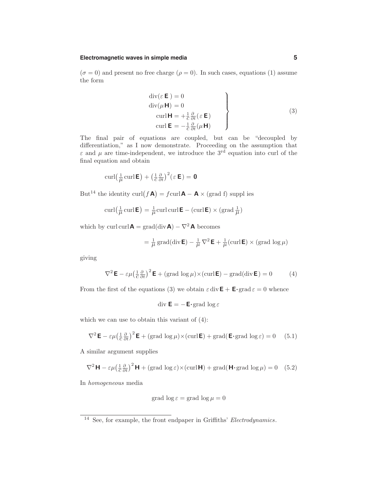### **Electromagnetic waves in simple media 5**

 $(\sigma = 0)$  and present no free charge  $(\rho = 0)$ . In such cases, equations (1) assume the form

$$
\begin{cases}\n\text{div}(\varepsilon \mathbf{E}) = 0 \\
\text{div}(\mu \mathbf{H}) = 0 \\
\text{curl} \mathbf{H} = +\frac{1}{c} \frac{\partial}{\partial t} (\varepsilon \mathbf{E}) \\
\text{curl} \mathbf{E} = -\frac{1}{c} \frac{\partial}{\partial t} (\mu \mathbf{H})\n\end{cases}
$$
\n(3)

The final pair of equations are coupled, but can be "decoupled by differentiation," as I now demonstrate. Proceeding on the assumption that *ε* and  $\mu$  are time-independent, we introduce the 3<sup>rd</sup> equation into curl of the final equation and obtain

$$
\operatorname{curl}\left(\frac{1}{\mu}\operatorname{curl}\boldsymbol{\mathsf{E}}\right) + \left(\frac{1}{c}\frac{\partial}{\partial t}\right)^2\left(\varepsilon\,\boldsymbol{\mathsf{E}}\right) = \boldsymbol{0}
$$

But<sup>14</sup> the identity curl( $f \mathbf{A}$ ) =  $f \text{curl} \mathbf{A} - \mathbf{A} \times (\text{grad } f)$  supplies

$$
\operatorname{curl}\left(\frac{1}{\mu}\operatorname{curl}\mathbf{E}\right) = \frac{1}{\mu}\operatorname{curl}\operatorname{curl}\mathbf{E} - \left(\operatorname{curl}\mathbf{E}\right) \times \left(\operatorname{grad}\frac{1}{\mu}\right)
$$

which by curl curl  $A = \text{grad}(\text{div } A) - \nabla^2 A$  becomes

$$
= \frac{1}{\mu} \operatorname{grad}(\operatorname{div} \mathbf{E}) - \frac{1}{\mu} \nabla^2 \mathbf{E} + \frac{1}{\mu} (\operatorname{curl} \mathbf{E}) \times (\operatorname{grad} \log \mu)
$$

giving

$$
\nabla^2 \mathbf{E} - \varepsilon \mu \left(\frac{1}{c} \frac{\partial}{\partial t}\right)^2 \mathbf{E} + (\text{grad } \log \mu) \times (\text{curl } \mathbf{E}) - \text{grad}(\text{div } \mathbf{E}) = 0 \tag{4}
$$

From the first of the equations (3) we obtain  $\varepsilon \text{ div } \mathbf{E} + \mathbf{E} \cdot \text{grad } \varepsilon = 0$  whence

$$
\operatorname{div} \mathsf{E} = -\mathsf{E} \cdot \operatorname{grad} \log \varepsilon
$$

which we can use to obtain this variant of (4):

$$
\nabla^2 \mathbf{E} - \varepsilon \mu \left(\frac{1}{c} \frac{\partial}{\partial t}\right)^2 \mathbf{E} + (\text{grad } \log \mu) \times (\text{curl } \mathbf{E}) + \text{grad}(\mathbf{E} \cdot \text{grad } \log \varepsilon) = 0 \quad (5.1)
$$

A similar argument supplies

$$
\nabla^2 \mathbf{H} - \varepsilon \mu \left(\frac{1}{c} \frac{\partial}{\partial t}\right)^2 \mathbf{H} + (\text{grad } \log \varepsilon) \times (\text{curl } \mathbf{H}) + \text{grad}(\mathbf{H} \cdot \text{grad } \log \mu) = 0 \quad (5.2)
$$

In homogeneous media

$$
grad \log \varepsilon = grad \log \mu = 0
$$

<sup>&</sup>lt;sup>14</sup> See, for example, the front endpaper in Griffiths' Electrodynamics.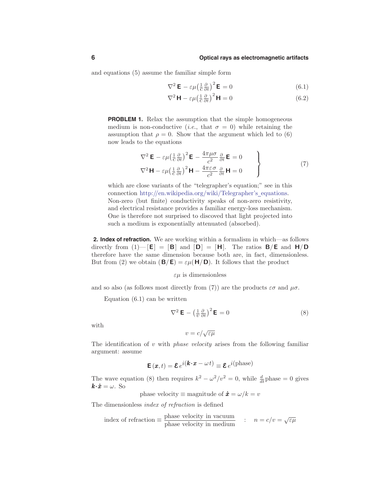and equations (5) assume the familiar simple form

$$
\nabla^2 \mathbf{E} - \varepsilon \mu \left(\frac{1}{c} \frac{\partial}{\partial t}\right)^2 \mathbf{E} = 0 \tag{6.1}
$$

$$
\nabla^2 \mathbf{H} - \varepsilon \mu \left(\frac{1}{c} \frac{\partial}{\partial t}\right)^2 \mathbf{H} = 0 \tag{6.2}
$$

**PROBLEM 1.** Relax the assumption that the simple homogeneous medium is non-conductive (*i.e.*, that  $\sigma = 0$ ) while retaining the assumption that  $\rho = 0$ . Show that the argument which led to (6) now leads to the equations

$$
\nabla^2 \mathbf{E} - \varepsilon \mu \left(\frac{1}{c} \frac{\partial}{\partial t}\right)^2 \mathbf{E} - \frac{4\pi \mu \sigma}{c^2} \frac{\partial}{\partial t} \mathbf{E} = 0
$$
  

$$
\nabla^2 \mathbf{H} - \varepsilon \mu \left(\frac{1}{c} \frac{\partial}{\partial t}\right)^2 \mathbf{H} - \frac{4\pi \varepsilon \sigma}{c^2} \frac{\partial}{\partial t} \mathbf{H} = 0
$$
 (7)

which are close variants of the "telegrapher's equation;" see in this connection http://en.wikipedia.org/wiki/Telegrapher's\_equations. Non-zero (but finite) conductivity speaks of non-zero resistivity, and electrical resistance provides a familiar energy-loss mechanism. One is therefore not surprised to discoved that light projected into such a medium is exponentially attenuated (absorbed).

**2. Index of refraction.** We are working within a formalism in which—as follows directly from  $(1)$ — $[\mathbf{E}] = [\mathbf{B}]$  and  $[\mathbf{D}] = [\mathbf{H}]$ . The ratios  $\mathbf{B}/\mathbf{E}$  and  $\mathbf{H}/\mathbf{D}$ therefore have the same dimension because both are, in fact, dimensionless. But from (2) we obtain  $(\mathbf{B}/\mathbf{E}) = \varepsilon \mu(\mathbf{H}/\mathbf{D})$ . It follows that the product

#### *εµ* is dimensionless

and so also (as follows most directly from (7)) are the products  $\varepsilon\sigma$  and  $\mu\sigma$ .

Equation (6.1) can be written

$$
\nabla^2 \mathbf{E} - \left(\frac{1}{v}\frac{\partial}{\partial t}\right)^2 \mathbf{E} = 0
$$
 (8)

with

$$
v = c / \sqrt{\varepsilon \mu}
$$

The identification of *v* with *phase velocity* arises from the following familiar argument: assume

$$
\mathbf{E}\left(\mathbf{x},t\right) = \mathbf{\mathcal{E}}\,e^{i\left(\mathbf{k}\cdot\mathbf{x} - \omega t\right)} \equiv \mathbf{\mathcal{E}}\,e^{i\left(\text{phase}\right)}
$$

The wave equation (8) then requires  $k^2 - \omega^2/v^2 = 0$ , while  $\frac{d}{dt}$  phase = 0 gives  $k \cdot \dot{x} = \omega$ . So

phase velocity  $\equiv$  magnitude of  $\dot{x} = \omega/k = v$ 

The dimensionless index of refraction is defined

index of refraction 
$$
\equiv
$$
  $\frac{\text{phase velocity in vacuum}}{\text{phase velocity in medium}}$  :  $n = c/v = \sqrt{\varepsilon \mu}$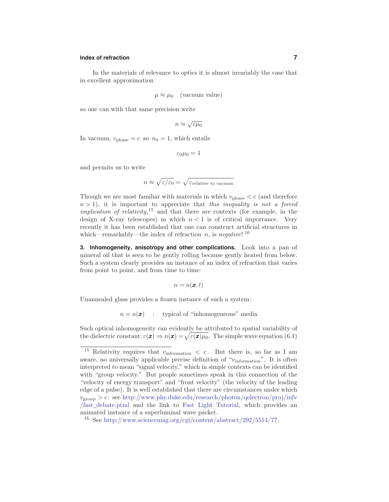## **Index of refraction 7**

In the materials of relevance to optics it is almost invariably the case that in excellent approximation

$$
\mu \approx \mu_0 \quad \text{(vacuum value)}
$$

so one can with that same precision write

$$
n \approx \sqrt{\varepsilon \mu_0}
$$

In vacuum,  $v_{phase} = c$  so  $n_0 = 1$ , which entails

 $\varepsilon_0\mu_0=1$ 

and permits us to write

$$
n \approx \sqrt{\varepsilon/\varepsilon_0} = \sqrt{\varepsilon_{\text{relative to vacuum}}}
$$

Though we are most familiar with materials in which  $v_{\text{phase}} < c$  (and therefore  $n > 1$ , it is important to appreciate that this inequality is not a forced implication of relativity,<sup>15</sup> and that there are contexts (for example, in the design of X-ray telescopes) in which  $n < 1$  is of critical importance. Very recently it has been established that one can construct artificial structures in which—remarkably—the index of refraction  $n$ , is negative!  $16$ 

**3. Inhomogeneity, anisotropy and other complications.** Look into a pan of mineral oil that is seen to be gently rolling because gently heated from below. Such a system clearly provides an instance of an index of refraction that varies from point to point, and from time to time:

$$
n=n(\pmb{x},t)
$$

Unannealed glass provides a frozen instance of such a system:

 $n = n(\mathbf{x})$  : typical of "inhomogeneous" media

Such optical inhomogeneity can evidently be attributed to spatial variability of the dielectric constant:  $\varepsilon(\mathbf{x}) \Rightarrow n(\mathbf{x}) = \sqrt{\varepsilon(\mathbf{x})\mu_0}$ . The simple wave equation (6.1)

<sup>15</sup> Relativity requires that *v*information *< c* . But there is, so far as I am aware, no universally applicable precise definition of "*v*information". It is often interpreted to mean "signal velocity," which in simple contexts can be identified with "group velocity." But people sometimes speak in this connection of the "velocity of energy transport" and "front velocity" (the velocity of the leading edge of a pulse). It is well established that there are circumstances under which *v*group *> c*: see http://www.phy.duke.edu/research/photon/qelectron/proj/infv /fast debate.ptml and the link to Fast Light Tutorial, which provides an animated instance of a superluminal wave packet.

<sup>&</sup>lt;sup>16</sup> See http://www.sciencemag.org/cgi/content/abstract/292/5514/77.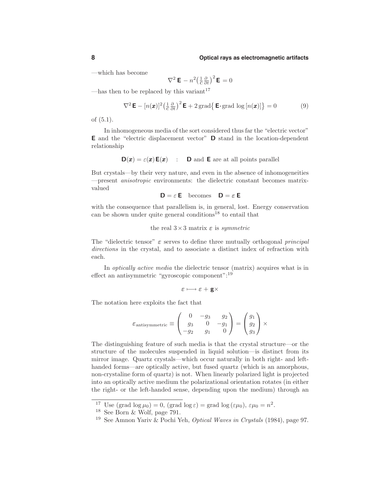—which has become

$$
\nabla^2 \mathbf{E} - n^2 \left(\frac{1}{c} \frac{\partial}{\partial t}\right)^2 \mathbf{E} = 0
$$

—has then to be replaced by this variant<sup>17</sup>

$$
\nabla^2 \mathbf{E} - [n(\boldsymbol{x})]^2 \left(\frac{1}{c} \frac{\partial}{\partial t}\right)^2 \mathbf{E} + 2 \operatorname{grad} \left\{ \mathbf{E} \cdot \operatorname{grad} \log [n(\boldsymbol{x})] \right\} = 0 \tag{9}
$$

of (5.1).

In inhomogeneous media of the sort considered thus far the "electric vector" **E** and the "electric displacement vector" **D** stand in the location-dependent relationship

$$
\mathsf{D}(\boldsymbol{x}) = \varepsilon(\boldsymbol{x}) \, \mathsf{E}(\boldsymbol{x}) \quad : \quad \mathsf{D} \text{ and } \mathsf{E} \text{ are at all points parallel}
$$

But crystals—by their very nature, and even in the absence of inhomogeneities —present anisotropic environments: the dielectric constant becomes matrixvalued

```
D = \varepsilon E becomes D = \varepsilon E
```
with the consequence that parallelism is, in general, lost. Energy conservation can be shown under quite general conditions<sup>18</sup> to entail that

the real 
$$
3\times 3
$$
 matrix  $\varepsilon$  is *symmetric*

The "dielectric tensor"  $\varepsilon$  serves to define three mutually orthogonal *principal* directions in the crystal, and to associate a distinct index of refraction with each.

In *optically active media* the dielectric tensor (matrix) acquires what is in effect an antisymmetric "gyroscopic component":<sup>19</sup>

$$
\varepsilon\longmapsto\varepsilon+{\bf g}\times
$$

The notation here exploits the fact that

$$
\varepsilon_{\text{antisymmetric}} \equiv \begin{pmatrix} 0 & -g_3 & g_2 \\ g_3 & 0 & -g_1 \\ -g_2 & g_1 & 0 \end{pmatrix} = \begin{pmatrix} g_1 \\ g_2 \\ g_3 \end{pmatrix} \times
$$

The distinguishing feature of such media is that the crystal structure—or the structure of the molecules suspended in liquid solution—is distinct from its mirror image. Quartz crystals—which occur naturally in both right- and lefthanded forms—are optically active, but fused quartz (which is an amorphous, non-crystaline form of quartz) is not. When linearly polarized light is projected into an optically active medium the polarizational orientation rotates (in either the right- or the left-handed sense, depending upon the medium) through an

<sup>&</sup>lt;sup>17</sup> Use (grad  $\log \mu_0$ ) = 0, (grad  $\log \varepsilon$ ) = grad  $\log (\varepsilon \mu_0)$ ,  $\varepsilon \mu_0 = n^2$ .<br><sup>18</sup> See Born & Wolf, page 791.

<sup>&</sup>lt;sup>19</sup> See Amnon Yariv & Pochi Yeh, *Optical Waves in Crystals* (1984), page 97.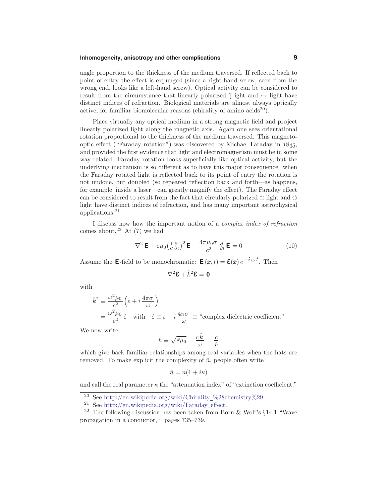## **Inhomogeneity, anisotropy and other complications 9**

angle proportion to the thickness of the medium traversed. If reflected back to point of entry the effect is expunged (since a right-hand screw, seen from the wrong end, looks like a left-hand screw). Optical activity can be considered to result from the circumstance that linearly polarized  $\uparrow$  ight and  $\leftrightarrow$  light have distinct indices of refraction. Biological materials are almost always optically active, for familiar biomolecular reasons (chirality of amino  $\arccos(20)$ ).

Place virtually any optical medium in a strong magnetic field and project linearly polarized light along the magnetic axis. Again one sees orientational rotation proportional to the thickness of the medium traversed. This magnetooptic effect ("Faraday rotation") was discovered by Michael Faraday in *1845*, and provided the first evidence that light and electromagnetism must be in some way related. Faraday rotation looks superficially like optical activity, but the underlying mechanism is so different as to have this major consequence: when the Faraday rotated light is reflected back to its point of entry the rotation is not undone, but doubled (so repeated reflection back and forth—as happens, for example, inside a laser—can greatly magnify the effect). The Faraday effect can be considered to result from the fact that circularly polarized  $\circlearrowright$  light and  $\circlearrowleft$ light have distinct indices of refraction, and has many important astrophysical applications.<sup>21</sup>

I discuss now how the important notion of a complex index of refraction comes about.<sup>22</sup> At  $(7)$  we had

$$
\nabla^2 \mathbf{E} - \varepsilon \mu_0 \left(\frac{1}{c} \frac{\partial}{\partial t}\right)^2 \mathbf{E} - \frac{4\pi \mu_0 \sigma}{c^2} \frac{\partial}{\partial t} \mathbf{E} = 0 \tag{10}
$$

Assume the **E**-field to be monochromatic: **E**  $(\mathbf{x}, t) = \mathbf{\mathcal{E}}(\mathbf{x}) e^{-i\omega t}$ . Then

$$
\nabla^2 \boldsymbol{\mathcal{E}} + \hat{k}^2 \boldsymbol{\mathcal{E}} = \boldsymbol{0}
$$

with

$$
\hat{k}^2 \equiv \frac{\omega^2 \mu_0}{c^2} \left( \varepsilon + i \frac{4\pi\sigma}{\omega} \right)
$$
  
=  $\frac{\omega^2 \mu_0}{c^2} \hat{\varepsilon}$  with  $\hat{\varepsilon} \equiv \varepsilon + i \frac{4\pi\sigma}{\omega} \equiv$  "complex dielectric coefficient"

We now write

$$
\hat{n} \equiv \sqrt{\hat{\varepsilon}\mu_0} = \frac{c\,\hat{k}}{\omega} = \frac{c}{\hat{v}}
$$

which give back familiar relationships among real variables when the hats are removed. To make explicit the complexity of  $\hat{n}$ , people often write

$$
\hat{n} = n(1 + i\kappa)
$$

and call the real parameter  $\kappa$  the "attenuation index" of "extinction coefficient."

<sup>20</sup> See http://en.wikipedia.org/wiki/Chirality %28chemistry%29.

<sup>21</sup> See http://en.wikipedia.org/wiki/Faraday effect.

<sup>&</sup>lt;sup>22</sup> The following discussion has been taken from Born & Wolf's  $\S 14.1$  "Wave propagation in a conductor, " pages 735–739.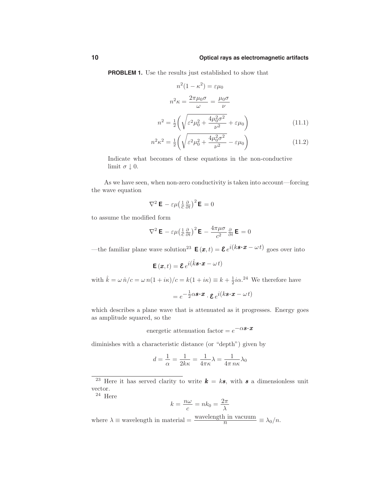**PROBLEM 1.** Use the results just established to show that

$$
n^{2}(1 - \kappa^{2}) = \varepsilon \mu_{0}
$$

$$
n^{2}\kappa = \frac{2\pi\mu_{0}\sigma}{\omega} = \frac{\mu_{0}\sigma}{\nu}
$$

$$
n^{2} = \frac{1}{2}\left(\sqrt{\varepsilon^{2}\mu_{0}^{2} + \frac{4\mu_{0}^{2}\sigma^{2}}{\nu^{2}}} + \varepsilon\mu_{0}\right)
$$
(11.1)

$$
n^2\kappa^2 = \frac{1}{2}\left(\sqrt{\varepsilon^2\mu_0^2 + \frac{4\mu_0^2\sigma^2}{\nu^2} - \varepsilon\mu_0}\right) \tag{11.2}
$$

Indicate what becomes of these equations in the non-conductive limit  $\sigma \downarrow 0$ .

As we have seen, when non-zero conductivity is taken into account—forcing the wave equation

$$
\nabla^2 \mathbf{E} - \varepsilon \mu \left(\frac{1}{c} \frac{\partial}{\partial t}\right)^2 \mathbf{E} = 0
$$

to assume the modified form

$$
\nabla^2 \mathbf{E} - \varepsilon \mu \left(\frac{1}{c} \frac{\partial}{\partial t}\right)^2 \mathbf{E} - \frac{4\pi\mu\sigma}{c^2} \frac{\partial}{\partial t} \mathbf{E} = 0
$$

—the familiar plane wave solution<sup>23</sup>  $\mathbf{E}(\mathbf{x},t) = \mathbf{\mathcal{E}} e^{i(k\mathbf{s}\cdot\mathbf{x} - \omega t)}$  goes over into

$$
\mathbf{E}\left(\pmb{x},t\right) = \pmb{\mathcal{E}}\,e^{i\left(\hat{k}\pmb{s}\cdot\pmb{x}-\omega\,t\right)}
$$

with  $\hat{k} = \omega \hat{n}/c = \omega n(1 + i\kappa)/c = k(1 + i\kappa) \equiv k + \frac{1}{2}i\alpha^{24}$  We therefore have  $= e^{-\frac{1}{2}\alpha s \cdot x} \cdot \mathcal{E} e^{i(ks \cdot x - \omega t)}$ 

which describes a plane wave that is attenuated as it progresses. Energy goes as amplitude squared, so the

energetic attenuation factor =  $e^{-\alpha s \cdot x}$ 

diminishes with a characteristic distance (or "depth") given by

$$
d=\frac{1}{\alpha}=\frac{1}{2k\kappa}=\frac{1}{4\pi\kappa}\lambda=\frac{1}{4\pi\,n\kappa}\lambda_0
$$

 $^{24}\,$  Here

$$
k = \frac{n\omega}{c} = nk_0 = \frac{2\pi}{\lambda}
$$

where  $\lambda \equiv$  wavelength in material =  $\frac{\text{wavelength in vacuum}}{n} \equiv \lambda_0/n$ .

<sup>&</sup>lt;sup>23</sup> Here it has served clarity to write  $\boldsymbol{k} = k\boldsymbol{s}$ , with  $\boldsymbol{s}$  a dimensionless unit vector.